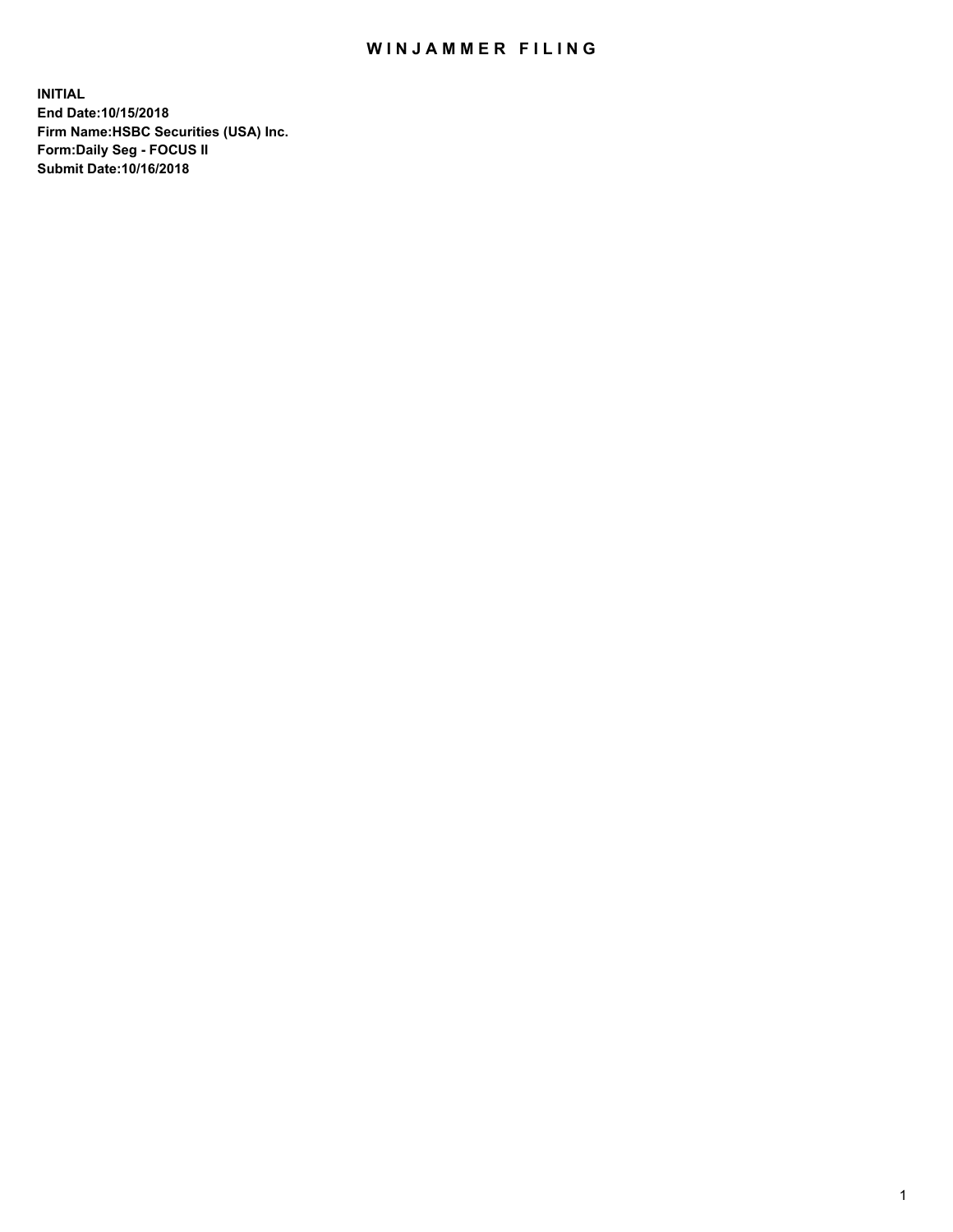## WIN JAMMER FILING

**INITIAL End Date:10/15/2018 Firm Name:HSBC Securities (USA) Inc. Form:Daily Seg - FOCUS II Submit Date:10/16/2018**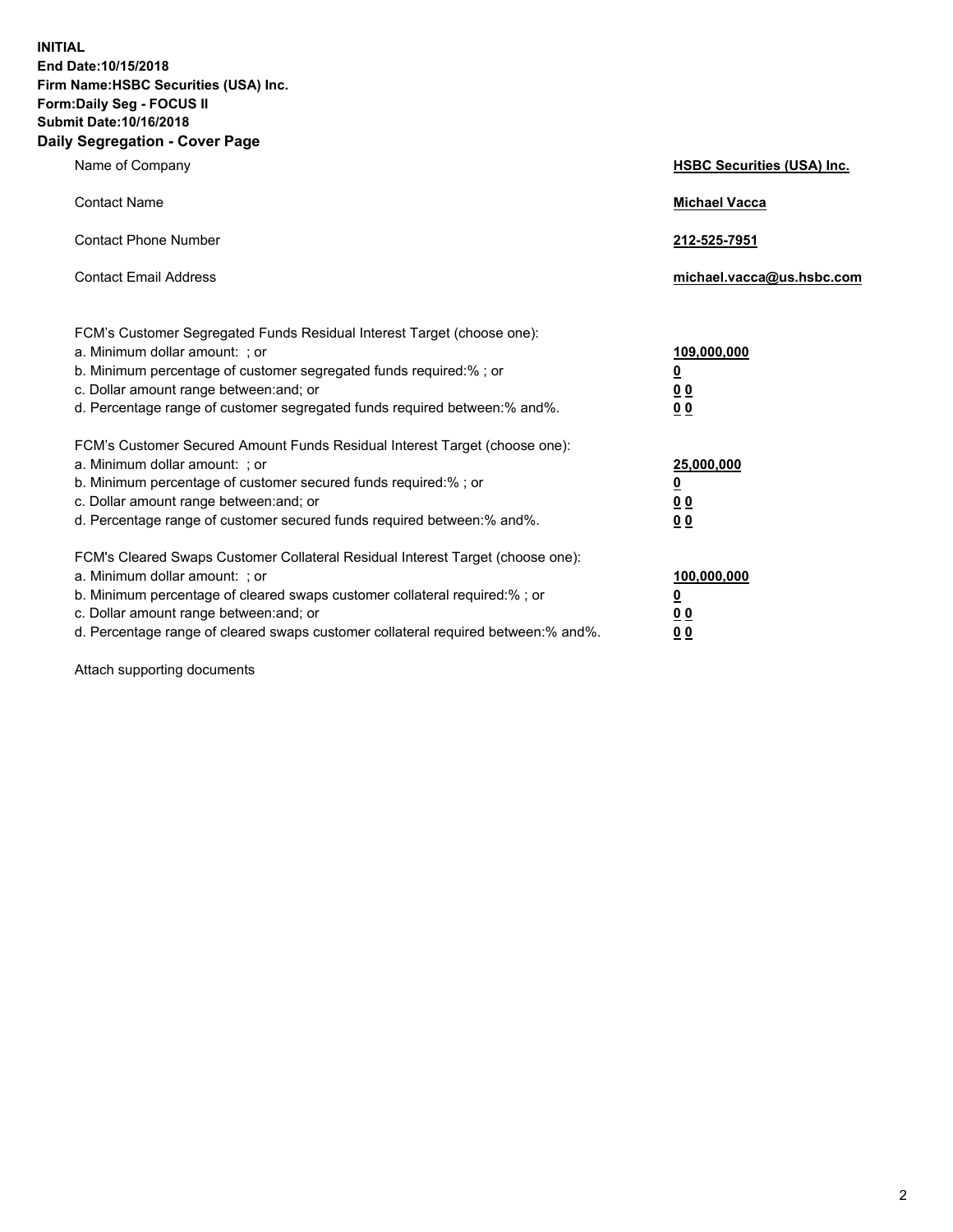**INITIAL End Date:10/15/2018 Firm Name:HSBC Securities (USA) Inc. Form:Daily Seg - FOCUS II Submit Date:10/16/2018 Daily Segregation - Cover Page**

| Name of Company                                                                                                                                                                                                                                                                                                                | <b>HSBC Securities (USA) Inc.</b>                                          |
|--------------------------------------------------------------------------------------------------------------------------------------------------------------------------------------------------------------------------------------------------------------------------------------------------------------------------------|----------------------------------------------------------------------------|
| <b>Contact Name</b>                                                                                                                                                                                                                                                                                                            | <b>Michael Vacca</b>                                                       |
| <b>Contact Phone Number</b>                                                                                                                                                                                                                                                                                                    | 212-525-7951                                                               |
| <b>Contact Email Address</b>                                                                                                                                                                                                                                                                                                   | michael.vacca@us.hsbc.com                                                  |
| FCM's Customer Segregated Funds Residual Interest Target (choose one):<br>a. Minimum dollar amount: : or<br>b. Minimum percentage of customer segregated funds required:% ; or<br>c. Dollar amount range between: and; or<br>d. Percentage range of customer segregated funds required between:% and%.                         | 109,000,000<br>$\overline{\mathbf{0}}$<br>0 <sub>0</sub><br>0 <sub>0</sub> |
| FCM's Customer Secured Amount Funds Residual Interest Target (choose one):<br>a. Minimum dollar amount: ; or<br>b. Minimum percentage of customer secured funds required:%; or<br>c. Dollar amount range between: and; or<br>d. Percentage range of customer secured funds required between:% and%.                            | 25,000,000<br><u>0</u><br>0 <sub>0</sub><br>00                             |
| FCM's Cleared Swaps Customer Collateral Residual Interest Target (choose one):<br>a. Minimum dollar amount: ; or<br>b. Minimum percentage of cleared swaps customer collateral required:% ; or<br>c. Dollar amount range between: and; or<br>d. Percentage range of cleared swaps customer collateral required between:% and%. | 100,000,000<br><u>0</u><br>00<br>0 <sub>0</sub>                            |

Attach supporting documents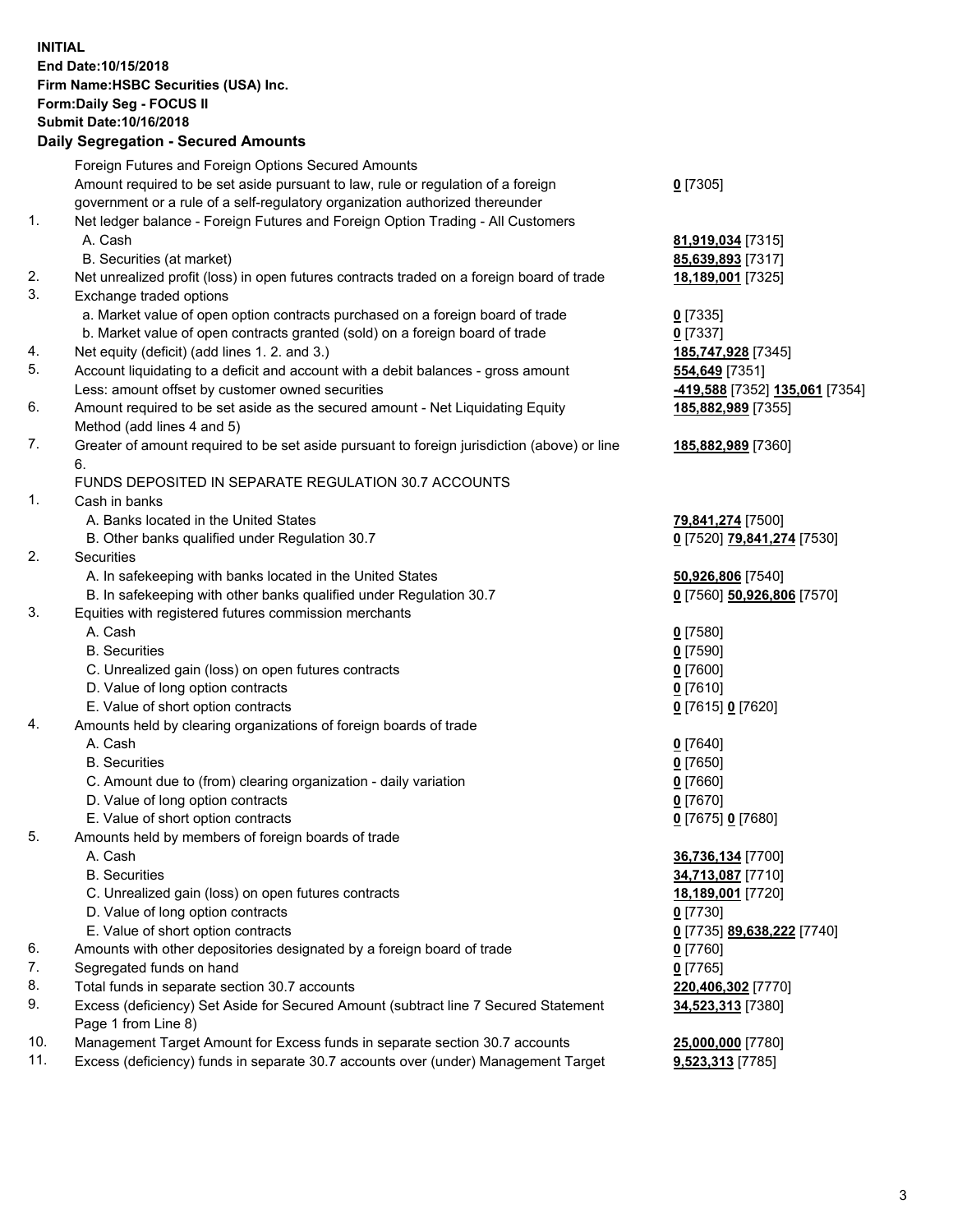**INITIAL End Date:10/15/2018 Firm Name:HSBC Securities (USA) Inc. Form:Daily Seg - FOCUS II Submit Date:10/16/2018 Daily Segregation - Secured Amounts** Foreign Futures and Foreign Options Secured Amounts Amount required to be set aside pursuant to law, rule or regulation of a foreign government or a rule of a self-regulatory organization authorized thereunder **0** [7305] 1. Net ledger balance - Foreign Futures and Foreign Option Trading - All Customers A. Cash **81,919,034** [7315] B. Securities (at market) **85,639,893** [7317] 2. Net unrealized profit (loss) in open futures contracts traded on a foreign board of trade **18,189,001** [7325] 3. Exchange traded options a. Market value of open option contracts purchased on a foreign board of trade **0** [7335] b. Market value of open contracts granted (sold) on a foreign board of trade **0** [7337] 4. Net equity (deficit) (add lines 1. 2. and 3.) **185,747,928** [7345] 5. Account liquidating to a deficit and account with a debit balances - gross amount **554,649** [7351] Less: amount offset by customer owned securities **-419,588** [7352] **135,061** [7354] 6. Amount required to be set aside as the secured amount - Net Liquidating Equity Method (add lines 4 and 5) **185,882,989** [7355] 7. Greater of amount required to be set aside pursuant to foreign jurisdiction (above) or line 6. **185,882,989** [7360] FUNDS DEPOSITED IN SEPARATE REGULATION 30.7 ACCOUNTS 1. Cash in banks A. Banks located in the United States **79,841,274** [7500] B. Other banks qualified under Regulation 30.7 **0** [7520] **79,841,274** [7530] 2. Securities A. In safekeeping with banks located in the United States **50,926,806** [7540] B. In safekeeping with other banks qualified under Regulation 30.7 **0** [7560] **50,926,806** [7570] 3. Equities with registered futures commission merchants A. Cash **0** [7580] B. Securities **0** [7590] C. Unrealized gain (loss) on open futures contracts **0** [7600] D. Value of long option contracts **0** [7610] E. Value of short option contracts **0** [7615] **0** [7620] 4. Amounts held by clearing organizations of foreign boards of trade A. Cash **0** [7640] B. Securities **0** [7650] C. Amount due to (from) clearing organization - daily variation **0** [7660] D. Value of long option contracts **0** [7670] E. Value of short option contracts **0** [7675] **0** [7680] 5. Amounts held by members of foreign boards of trade A. Cash **36,736,134** [7700] B. Securities **34,713,087** [7710] C. Unrealized gain (loss) on open futures contracts **18,189,001** [7720] D. Value of long option contracts **0** [7730]

- E. Value of short option contracts **0** [7735] **89,638,222** [7740]
- 6. Amounts with other depositories designated by a foreign board of trade **0** [7760]
- 7. Segregated funds on hand **0** [7765]
- 8. Total funds in separate section 30.7 accounts **220,406,302** [7770]
- 9. Excess (deficiency) Set Aside for Secured Amount (subtract line 7 Secured Statement Page 1 from Line 8)
- 10. Management Target Amount for Excess funds in separate section 30.7 accounts **25,000,000** [7780]
- 11. Excess (deficiency) funds in separate 30.7 accounts over (under) Management Target **9,523,313** [7785]

3

**34,523,313** [7380]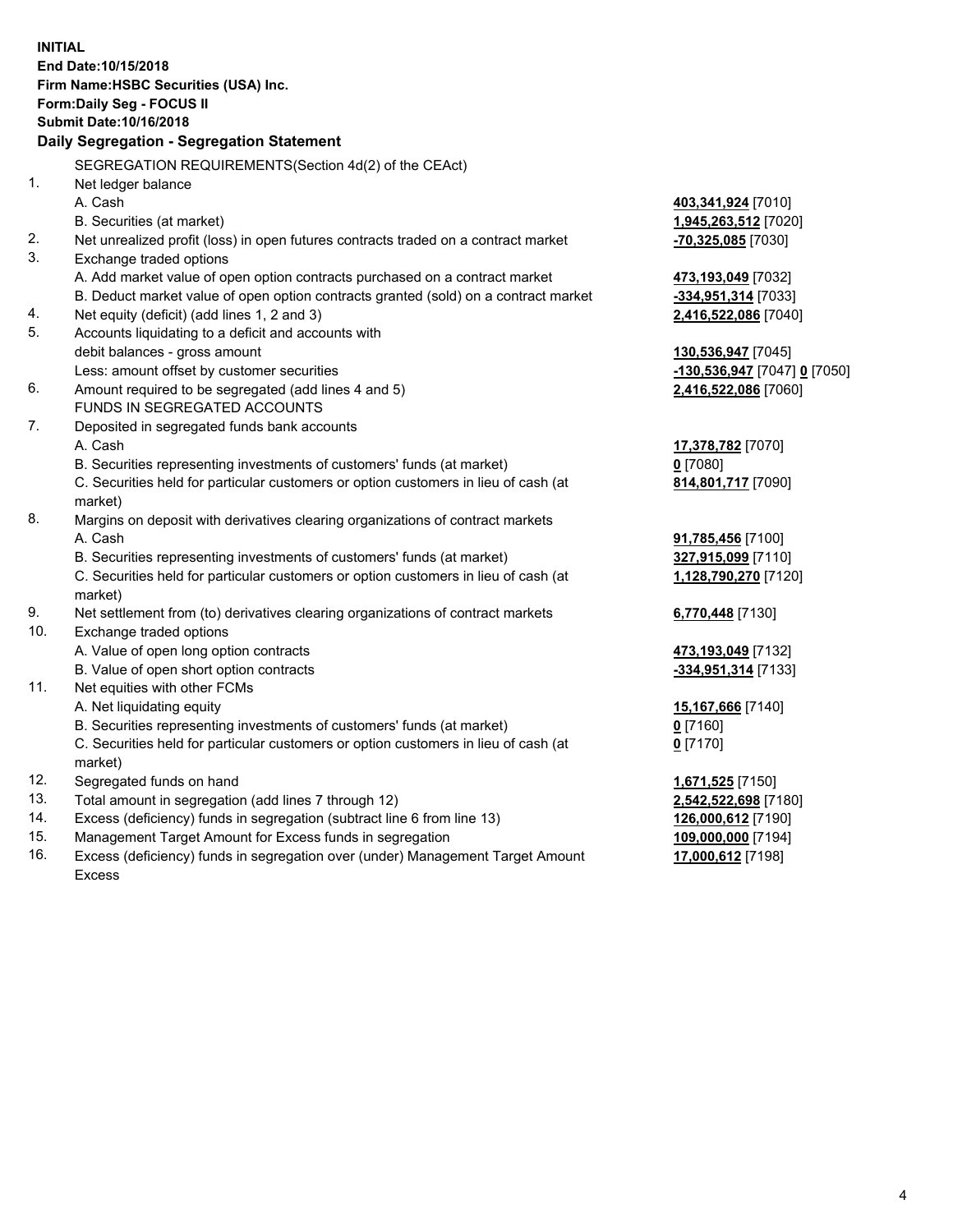**INITIAL End Date:10/15/2018 Firm Name:HSBC Securities (USA) Inc. Form:Daily Seg - FOCUS II Submit Date:10/16/2018 Daily Segregation - Segregation Statement** SEGREGATION REQUIREMENTS(Section 4d(2) of the CEAct) 1. Net ledger balance A. Cash **403,341,924** [7010] B. Securities (at market) **1,945,263,512** [7020] 2. Net unrealized profit (loss) in open futures contracts traded on a contract market **-70,325,085** [7030] 3. Exchange traded options A. Add market value of open option contracts purchased on a contract market **473,193,049** [7032] B. Deduct market value of open option contracts granted (sold) on a contract market **-334,951,314** [7033] 4. Net equity (deficit) (add lines 1, 2 and 3) **2,416,522,086** [7040] 5. Accounts liquidating to a deficit and accounts with debit balances - gross amount **130,536,947** [7045] Less: amount offset by customer securities **-130,536,947** [7047] **0** [7050] 6. Amount required to be segregated (add lines 4 and 5) **2,416,522,086** [7060] FUNDS IN SEGREGATED ACCOUNTS 7. Deposited in segregated funds bank accounts A. Cash **17,378,782** [7070] B. Securities representing investments of customers' funds (at market) **0** [7080] C. Securities held for particular customers or option customers in lieu of cash (at market) **814,801,717** [7090] 8. Margins on deposit with derivatives clearing organizations of contract markets A. Cash **91,785,456** [7100] B. Securities representing investments of customers' funds (at market) **327,915,099** [7110] C. Securities held for particular customers or option customers in lieu of cash (at market) **1,128,790,270** [7120] 9. Net settlement from (to) derivatives clearing organizations of contract markets **6,770,448** [7130] 10. Exchange traded options A. Value of open long option contracts **473,193,049** [7132] B. Value of open short option contracts **-334,951,314** [7133] 11. Net equities with other FCMs A. Net liquidating equity **15,167,666** [7140] B. Securities representing investments of customers' funds (at market) **0** [7160] C. Securities held for particular customers or option customers in lieu of cash (at market) **0** [7170] 12. Segregated funds on hand **1,671,525** [7150] 13. Total amount in segregation (add lines 7 through 12) **2,542,522,698** [7180] 14. Excess (deficiency) funds in segregation (subtract line 6 from line 13) **126,000,612** [7190] 15. Management Target Amount for Excess funds in segregation **109,000,000** [7194] 16. Excess (deficiency) funds in segregation over (under) Management Target Amount **17,000,612** [7198]

Excess